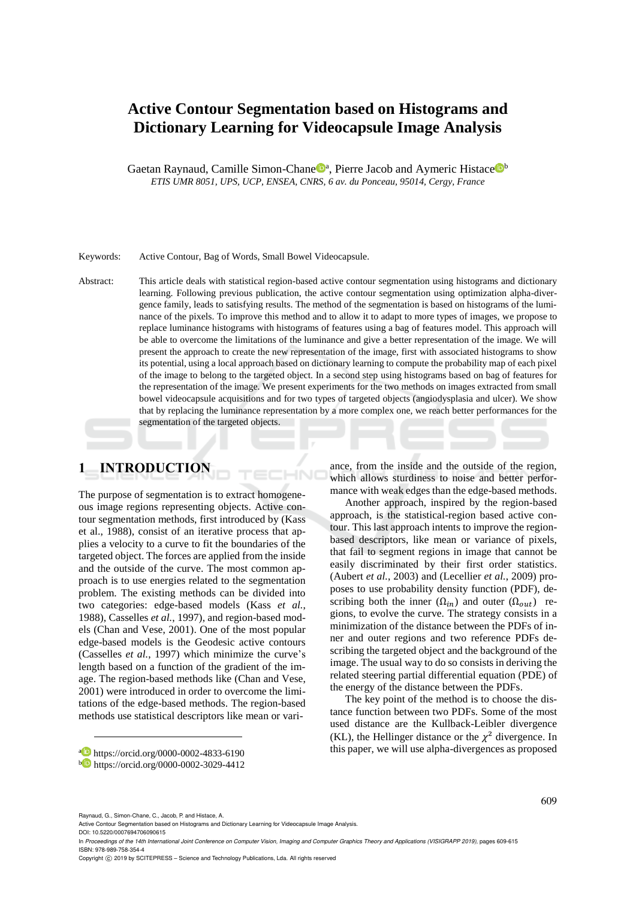# **Active Contour Segmentation based on Histograms and Dictionary Learning for Videocapsule Image Analysis**

Gaetan Raynaud, Camille Simon-Chane<sup>n</sup>, Pierre Jacob and Aymeric Histace<sup>nt</sup> *ETIS UMR 8051, UPS, UCP, ENSEA, CNRS, 6 av. du Ponceau, 95014, Cergy, France*

#### Keywords: Active Contour, Bag of Words, Small Bowel Videocapsule.

Abstract: This article deals with statistical region-based active contour segmentation using histograms and dictionary learning. Following previous publication, the active contour segmentation using optimization alpha-divergence family, leads to satisfying results. The method of the segmentation is based on histograms of the luminance of the pixels. To improve this method and to allow it to adapt to more types of images, we propose to replace luminance histograms with histograms of features using a bag of features model. This approach will be able to overcome the limitations of the luminance and give a better representation of the image. We will present the approach to create the new representation of the image, first with associated histograms to show its potential, using a local approach based on dictionary learning to compute the probability map of each pixel of the image to belong to the targeted object. In a second step using histograms based on bag of features for the representation of the image. We present experiments for the two methods on images extracted from small bowel videocapsule acquisitions and for two types of targeted objects (angiodysplasia and ulcer). We show that by replacing the luminance representation by a more complex one, we reach better performances for the segmentation of the targeted objects.

# **1 INTRODUCTION**

The purpose of segmentation is to extract homogeneous image regions representing objects. Active contour segmentation methods, first introduced by (Kass et al., 1988), consist of an iterative process that applies a velocity to a curve to fit the boundaries of the targeted object. The forces are applied from the inside and the outside of the curve. The most common approach is to use energies related to the segmentation problem. The existing methods can be divided into two categories: edge-based models (Kass *et al.*, 1988), Casselles *et al.*, 1997), and region-based models (Chan and Vese, 2001). One of the most popular edge-based models is the Geodesic active contours (Casselles *et al.*, 1997) which minimize the curve's length based on a function of the gradient of the image. The region-based methods like (Chan and Vese, 2001) were introduced in order to overcome the limitations of the edge-based methods. The region-based methods use statistical descriptors like mean or vari-

ance, from the inside and the outside of the region, which allows sturdiness to noise and better performance with weak edges than the edge-based methods.

Another approach, inspired by the region-based approach, is the statistical-region based active contour. This last approach intents to improve the regionbased descriptors, like mean or variance of pixels, that fail to segment regions in image that cannot be easily discriminated by their first order statistics. (Aubert *et al.*, 2003) and (Lecellier *et al.*, 2009) proposes to use probability density function (PDF), describing both the inner  $(\Omega_{in})$  and outer  $(\Omega_{out})$  regions, to evolve the curve. The strategy consists in a minimization of the distance between the PDFs of inner and outer regions and two reference PDFs describing the targeted object and the background of the image. The usual way to do so consists in deriving the related steering partial differential equation (PDE) of the energy of the distance between the PDFs.

The key point of the method is to choose the distance function between two PDFs. Some of the most used distance are the Kullback-Leibler divergence (KL), the Hellinger distance or the  $\chi^2$  divergence. In this paper, we will use alpha-divergences as proposed

Raynaud, G., Simon-Chane, C., Jacob, P. and Histace, A.

a https://orcid.org/0000-0002-4833-6190

<sup>b</sup> https://orcid.org/0000-0002-3029-4412

Active Contour Segmentation based on Histograms and Dictionary Learning for Videocapsule Image Analysis. DOI: 10.5220/0007694706090615

In *Proceedings of the 14th International Joint Conference on Computer Vision, Imaging and Computer Graphics Theory and Applications (VISIGRAPP 2019)*, pages 609-615 ISBN: 978-989-758-354-4

Copyright (C) 2019 by SCITEPRESS - Science and Technology Publications, Lda. All rights reserved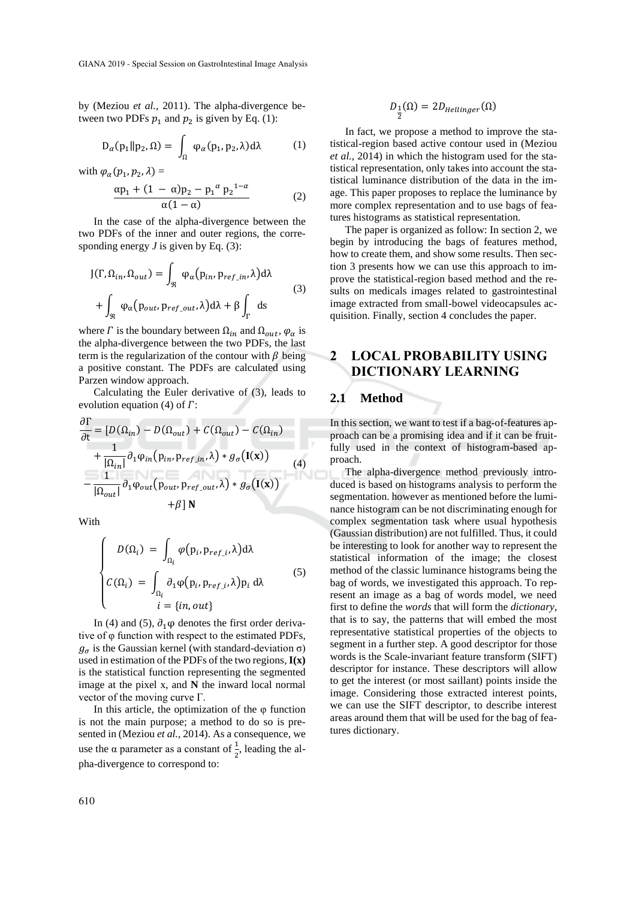by (Meziou *et al.*, 2011). The alpha-divergence between two PDFs  $p_1$  and  $p_2$  is given by Eq. (1):

$$
D_{\alpha}(p_1 \| p_2, \Omega) = \int_{\Omega} \varphi_{\alpha}(p_1, p_2, \lambda) d\lambda \tag{1}
$$

with  $\varphi_\alpha(p_1, p_2, \lambda) =$ 

$$
\frac{\alpha p_1 + (1 - \alpha)p_2 - p_1^{\alpha} p_2^{1-\alpha}}{\alpha(1-\alpha)}
$$
 (2)

In the case of the alpha-divergence between the two PDFs of the inner and outer regions, the corresponding energy *J* is given by Eq. (3):

$$
J(\Gamma, \Omega_{in}, \Omega_{out}) = \int_{\Re} \varphi_{\alpha}(p_{in}, p_{ref\_in}, \lambda) d\lambda
$$
  
+ 
$$
\int_{\Re} \varphi_{\alpha}(p_{out}, p_{ref\_out}, \lambda) d\lambda + \beta \int_{\Gamma} ds
$$
 (3)

where  $\Gamma$  is the boundary between  $\Omega_{in}$  and  $\Omega_{out}$ ,  $\varphi_{\alpha}$  is the alpha-divergence between the two PDFs, the last term is the regularization of the contour with  $\beta$  being a positive constant. The PDFs are calculated using Parzen window approach.

Calculating the Euler derivative of (3), leads to evolution equation (4) of  $\Gamma$ :

$$
\frac{\partial \Gamma}{\partial t} = [D(\Omega_{in}) - D(\Omega_{out}) + C(\Omega_{out}) - C(\Omega_{in})
$$
  
+ 
$$
\frac{1}{|\Omega_{in}|} \partial_1 \varphi_{in} (p_{in}, p_{ref\_in}, \lambda) * g_{\sigma} (I(\mathbf{x}))
$$
  
- 
$$
\frac{1}{|\Omega_{out}|} \partial_1 \varphi_{out} (p_{out}, p_{ref\_out}, \lambda) * g_{\sigma} (I(\mathbf{x}))
$$
  
+ 
$$
\beta | N
$$

With

$$
\begin{cases}\nD(\Omega_i) = \int_{\Omega_i} \varphi(p_i, p_{ref\_i}, \lambda) d\lambda \\
C(\Omega_i) = \int_{\Omega_i} \partial_1 \varphi(p_i, p_{ref\_i}, \lambda) p_i d\lambda \\
i = \{in, out\}\n\end{cases}
$$
\n(5)

In (4) and (5),  $\partial_1 \varphi$  denotes the first order derivative of φ function with respect to the estimated PDFs,  $g_{\sigma}$  is the Gaussian kernel (with standard-deviation  $\sigma$ ) used in estimation of the PDFs of the two regions, **I(x)** is the statistical function representing the segmented image at the pixel x, and **N** the inward local normal vector of the moving curve  $\Gamma$ .

In this article, the optimization of the  $\varphi$  function is not the main purpose; a method to do so is presented in (Meziou *et al.*, 2014). As a consequence, we use the  $\alpha$  parameter as a constant of  $\frac{1}{2}$ , leading the alpha-divergence to correspond to:

$$
D_{\tfrac{1}{2}}(\Omega)=2D_{Hellinger}(\Omega)
$$

In fact, we propose a method to improve the statistical-region based active contour used in (Meziou *et al.*, 2014) in which the histogram used for the statistical representation, only takes into account the statistical luminance distribution of the data in the image. This paper proposes to replace the luminance by more complex representation and to use bags of features histograms as statistical representation.

The paper is organized as follow: In section 2, we begin by introducing the bags of features method, how to create them, and show some results. Then section 3 presents how we can use this approach to improve the statistical-region based method and the results on medicals images related to gastrointestinal image extracted from small-bowel videocapsules acquisition. Finally, section 4 concludes the paper.

## **2 LOCAL PROBABILITY USING DICTIONARY LEARNING**

### **2.1 Method**

In this section, we want to test if a bag-of-features approach can be a promising idea and if it can be fruitfully used in the context of histogram-based approach.

The alpha-divergence method previously intro-The alpha-divergence method previously intro-<br>duced is based on histograms analysis to perform the segmentation. however as mentioned before the luminance histogram can be not discriminating enough for complex segmentation task where usual hypothesis (Gaussian distribution) are not fulfilled. Thus, it could be interesting to look for another way to represent the statistical information of the image; the closest method of the classic luminance histograms being the bag of words, we investigated this approach. To represent an image as a bag of words model, we need first to define the *words* that will form the *dictionary*, that is to say, the patterns that will embed the most representative statistical properties of the objects to segment in a further step. A good descriptor for those words is the Scale-invariant feature transform (SIFT) descriptor for instance. These descriptors will allow to get the interest (or most saillant) points inside the image. Considering those extracted interest points, we can use the SIFT descriptor, to describe interest areas around them that will be used for the bag of features dictionary.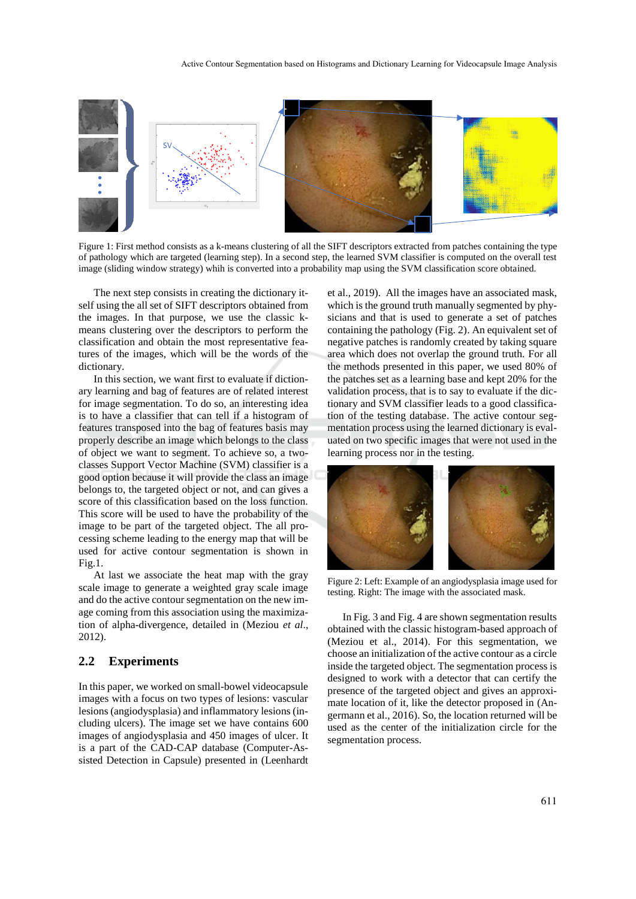

Figure 1: First method consists as a k-means clustering of all the SIFT descriptors extracted from patches containing the type of pathology which are targeted (learning step). In a second step, the learned SVM classifier is computed on the overall test image (sliding window strategy) whih is converted into a probability map using the SVM classification score obtained.

The next step consists in creating the dictionary itself using the all set of SIFT descriptors obtained from the images. In that purpose, we use the classic kmeans clustering over the descriptors to perform the classification and obtain the most representative features of the images, which will be the words of the dictionary.

In this section, we want first to evaluate if dictionary learning and bag of features are of related interest for image segmentation. To do so, an interesting idea is to have a classifier that can tell if a histogram of features transposed into the bag of features basis may properly describe an image which belongs to the class of object we want to segment. To achieve so, a twoclasses Support Vector Machine (SVM) classifier is a good option because it will provide the class an image belongs to, the targeted object or not, and can gives a score of this classification based on the loss function. This score will be used to have the probability of the image to be part of the targeted object. The all processing scheme leading to the energy map that will be used for active contour segmentation is shown in Fig.1.

At last we associate the heat map with the gray scale image to generate a weighted gray scale image and do the active contour segmentation on the new image coming from this association using the maximization of alpha-divergence, detailed in (Meziou *et al*., 2012).

#### **2.2 Experiments**

In this paper, we worked on small-bowel videocapsule images with a focus on two types of lesions: vascular lesions (angiodysplasia) and inflammatory lesions (including ulcers). The image set we have contains 600 images of angiodysplasia and 450 images of ulcer. It is a part of the CAD-CAP database (Computer-Assisted Detection in Capsule) presented in (Leenhardt et al., 2019). All the images have an associated mask, which is the ground truth manually segmented by physicians and that is used to generate a set of patches containing the pathology (Fig. 2). An equivalent set of negative patches is randomly created by taking square area which does not overlap the ground truth. For all the methods presented in this paper, we used 80% of the patches set as a learning base and kept 20% for the validation process, that is to say to evaluate if the dictionary and SVM classifier leads to a good classification of the testing database. The active contour segmentation process using the learned dictionary is evaluated on two specific images that were not used in the learning process nor in the testing.



Figure 2: Left: Example of an angiodysplasia image used for testing. Right: The image with the associated mask.

In Fig. 3 and Fig. 4 are shown segmentation results obtained with the classic histogram-based approach of (Meziou et al., 2014). For this segmentation, we choose an initialization of the active contour as a circle inside the targeted object. The segmentation process is designed to work with a detector that can certify the presence of the targeted object and gives an approximate location of it, like the detector proposed in (Angermann et al., 2016). So, the location returned will be used as the center of the initialization circle for the segmentation process.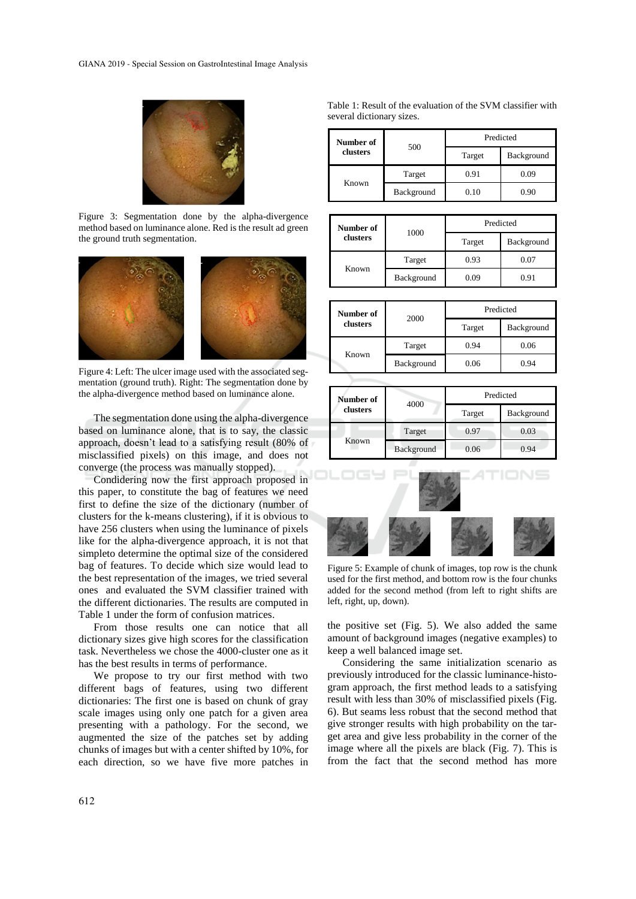

Figure 3: Segmentation done by the alpha-divergence method based on luminance alone. Red is the result ad green the ground truth segmentation.



Figure 4: Left: The ulcer image used with the associated segmentation (ground truth). Right: The segmentation done by the alpha-divergence method based on luminance alone.

The segmentation done using the alpha-divergence based on luminance alone, that is to say, the classic approach, doesn't lead to a satisfying result (80% of misclassified pixels) on this image, and does not converge (the process was manually stopped).

Condidering now the first approach proposed in this paper, to constitute the bag of features we need first to define the size of the dictionary (number of clusters for the k-means clustering), if it is obvious to have 256 clusters when using the luminance of pixels like for the alpha-divergence approach, it is not that simpleto determine the optimal size of the considered bag of features. To decide which size would lead to the best representation of the images, we tried several ones and evaluated the SVM classifier trained with the different dictionaries. The results are computed in Table 1 under the form of confusion matrices.

From those results one can notice that all dictionary sizes give high scores for the classification task. Nevertheless we chose the 4000-cluster one as it has the best results in terms of performance.

We propose to try our first method with two different bags of features, using two different dictionaries: The first one is based on chunk of gray scale images using only one patch for a given area presenting with a pathology. For the second, we augmented the size of the patches set by adding chunks of images but with a center shifted by 10%, for each direction, so we have five more patches in

Table 1: Result of the evaluation of the SVM classifier with several dictionary sizes.

| Number of<br>clusters | 500        | Predicted |            |
|-----------------------|------------|-----------|------------|
|                       |            | Target    | Background |
| Known                 | Target     | 0.91      | 0.09       |
|                       | Background | 0.10      | 0.90       |

| Number of<br>clusters | 1000       | Predicted |            |
|-----------------------|------------|-----------|------------|
|                       |            | Target    | Background |
| Known                 | Target     | 0.93      | 0.07       |
|                       | Background | 0.09      | 0.91       |

| Number of<br>clusters | 2000       | Predicted |            |
|-----------------------|------------|-----------|------------|
|                       |            | Target    | Background |
| Known                 | Target     | 0.94      | 0.06       |
|                       | Background | 0.06      | 0.94       |

| Number of<br>clusters | 4000       | Predicted |            |
|-----------------------|------------|-----------|------------|
|                       |            | Target    | Background |
| Known                 | Target     | 0.97      | 0.03       |
|                       | Background | 0.06      | 0.94       |



Figure 5: Example of chunk of images, top row is the chunk used for the first method, and bottom row is the four chunks added for the second method (from left to right shifts are left, right, up, down).

the positive set (Fig. 5). We also added the same amount of background images (negative examples) to keep a well balanced image set.

Considering the same initialization scenario as previously introduced for the classic luminance-histogram approach, the first method leads to a satisfying result with less than 30% of misclassified pixels (Fig. 6). But seams less robust that the second method that give stronger results with high probability on the target area and give less probability in the corner of the image where all the pixels are black (Fig. 7). This is from the fact that the second method has more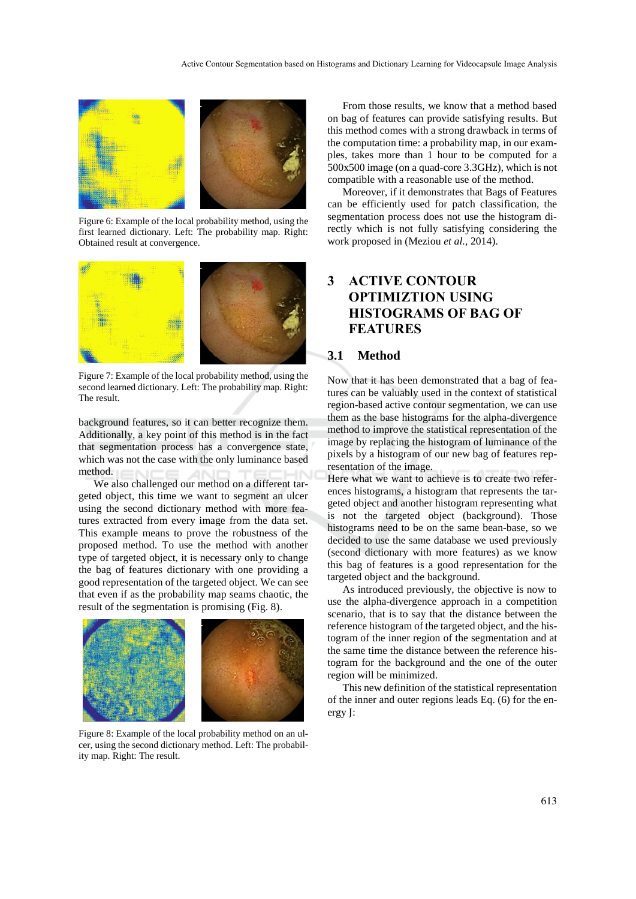

Figure 6: Example of the local probability method, using the first learned dictionary. Left: The probability map. Right: Obtained result at convergence.



Figure 7: Example of the local probability method, using the second learned dictionary. Left: The probability map. Right: The result.

background features, so it can better recognize them. Additionally, a key point of this method is in the fact that segmentation process has a convergence state, which was not the case with the only luminance based method.

We also challenged our method on a different targeted object, this time we want to segment an ulcer using the second dictionary method with more features extracted from every image from the data set. This example means to prove the robustness of the proposed method. To use the method with another type of targeted object, it is necessary only to change the bag of features dictionary with one providing a good representation of the targeted object. We can see that even if as the probability map seams chaotic, the result of the segmentation is promising (Fig. 8).



Figure 8: Example of the local probability method on an ulcer, using the second dictionary method. Left: The probability map. Right: The result.

From those results, we know that a method based on bag of features can provide satisfying results. But this method comes with a strong drawback in terms of the computation time: a probability map, in our examples, takes more than 1 hour to be computed for a 500x500 image (on a quad-core 3.3GHz), which is not compatible with a reasonable use of the method.

Moreover, if it demonstrates that Bags of Features can be efficiently used for patch classification, the segmentation process does not use the histogram directly which is not fully satisfying considering the work proposed in (Meziou *et al.*, 2014).

# **3 ACTIVE CONTOUR OPTIMIZTION USING HISTOGRAMS OF BAG OF FEATURES**

#### **3.1 Method**

Now that it has been demonstrated that a bag of features can be valuably used in the context of statistical region-based active contour segmentation, we can use them as the base histograms for the alpha-divergence method to improve the statistical representation of the image by replacing the histogram of luminance of the pixels by a histogram of our new bag of features representation of the image.

Here what we want to achieve is to create two references histograms, a histogram that represents the targeted object and another histogram representing what is not the targeted object (background). Those histograms need to be on the same bean-base, so we decided to use the same database we used previously (second dictionary with more features) as we know this bag of features is a good representation for the targeted object and the background.

As introduced previously, the objective is now to use the alpha-divergence approach in a competition scenario, that is to say that the distance between the reference histogram of the targeted object, and the histogram of the inner region of the segmentation and at the same time the distance between the reference histogram for the background and the one of the outer region will be minimized.

This new definition of the statistical representation of the inner and outer regions leads Eq. (6) for the energy J: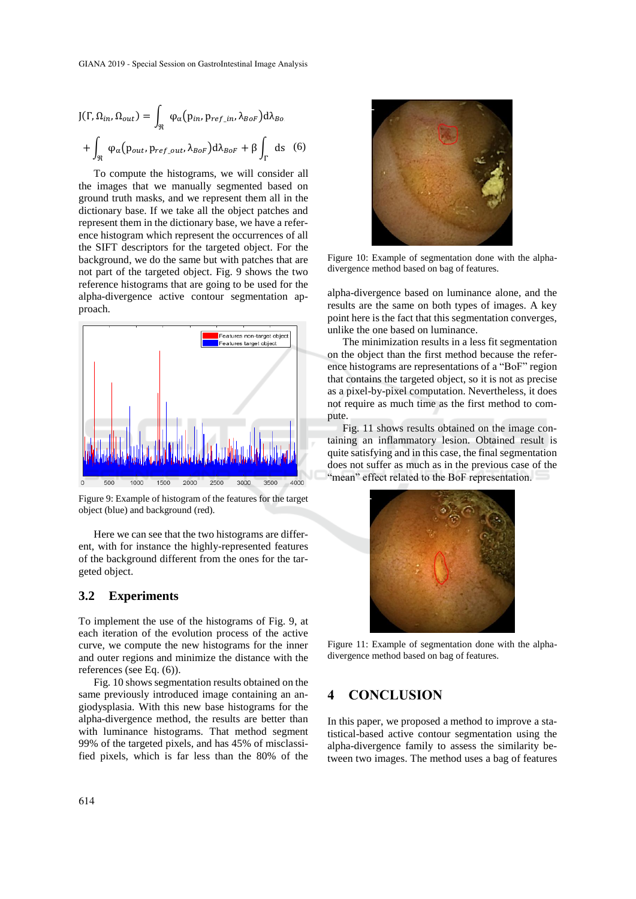$$
J(\Gamma, \Omega_{in}, \Omega_{out}) = \int_{\Re} \varphi_{\alpha}(p_{in}, p_{ref\_in}, \lambda_{BoF}) d\lambda_{Bo}
$$

$$
+ \int_{\Re} \varphi_{\alpha}(p_{out}, p_{ref\_out}, \lambda_{BoF}) d\lambda_{BoF} + \beta \int_{\Gamma} ds \quad (6)
$$

To compute the histograms, we will consider all the images that we manually segmented based on ground truth masks, and we represent them all in the dictionary base. If we take all the object patches and represent them in the dictionary base, we have a reference histogram which represent the occurrences of all the SIFT descriptors for the targeted object. For the background, we do the same but with patches that are not part of the targeted object. Fig. 9 shows the two reference histograms that are going to be used for the alpha-divergence active contour segmentation approach.



Figure 9: Example of histogram of the features for the target object (blue) and background (red).

Here we can see that the two histograms are different, with for instance the highly-represented features of the background different from the ones for the targeted object.

#### **3.2 Experiments**

To implement the use of the histograms of Fig. 9, at each iteration of the evolution process of the active curve, we compute the new histograms for the inner and outer regions and minimize the distance with the references (see Eq. (6)).

Fig. 10 shows segmentation results obtained on the same previously introduced image containing an angiodysplasia. With this new base histograms for the alpha-divergence method, the results are better than with luminance histograms. That method segment 99% of the targeted pixels, and has 45% of misclassified pixels, which is far less than the 80% of the



Figure 10: Example of segmentation done with the alphadivergence method based on bag of features.

alpha-divergence based on luminance alone, and the results are the same on both types of images. A key point here is the fact that this segmentation converges, unlike the one based on luminance.

The minimization results in a less fit segmentation on the object than the first method because the reference histograms are representations of a "BoF" region that contains the targeted object, so it is not as precise as a pixel-by-pixel computation. Nevertheless, it does not require as much time as the first method to compute.

Fig. 11 shows results obtained on the image containing an inflammatory lesion. Obtained result is quite satisfying and in this case, the final segmentation does not suffer as much as in the previous case of the "mean" effect related to the BoF representation.



Figure 11: Example of segmentation done with the alphadivergence method based on bag of features.

### **4 CONCLUSION**

In this paper, we proposed a method to improve a statistical-based active contour segmentation using the alpha-divergence family to assess the similarity between two images. The method uses a bag of features